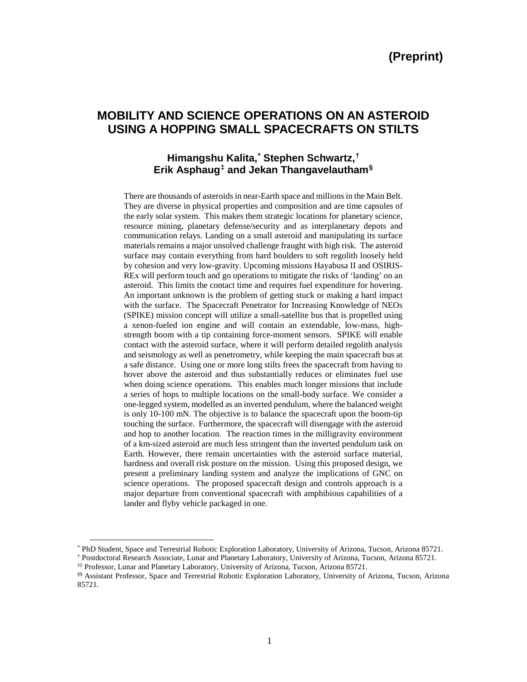# **MOBILITY AND SCIENCE OPERATIONS ON AN ASTEROID USING A HOPPING SMALL SPACECRAFTS ON STILTS**

## **Himangshu Kalita,[\\*](#page-0-0) Stephen Schwartz,[†](#page-0-1) Erik Asphaug[‡](#page-0-2) and Jekan Thangavelautham[§](#page-0-3)**

There are thousands of asteroids in near-Earth space and millions in the Main Belt. They are diverse in physical properties and composition and are time capsules of the early solar system. This makes them strategic locations for planetary science, resource mining, planetary defense/security and as interplanetary depots and communication relays. Landing on a small asteroid and manipulating its surface materials remains a major unsolved challenge fraught with high risk. The asteroid surface may contain everything from hard boulders to soft regolith loosely held by cohesion and very low-gravity. Upcoming missions Hayabusa II and OSIRIS-REx will perform touch and go operations to mitigate the risks of 'landing' on an asteroid. This limits the contact time and requires fuel expenditure for hovering. An important unknown is the problem of getting stuck or making a hard impact with the surface. The Spacecraft Penetrator for Increasing Knowledge of NEOs (SPIKE) mission concept will utilize a small-satellite bus that is propelled using a xenon-fueled ion engine and will contain an extendable, low-mass, highstrength boom with a tip containing force-moment sensors. SPIKE will enable contact with the asteroid surface, where it will perform detailed regolith analysis and seismology as well as penetrometry, while keeping the main spacecraft bus at a safe distance. Using one or more long stilts frees the spacecraft from having to hover above the asteroid and thus substantially reduces or eliminates fuel use when doing science operations. This enables much longer missions that include a series of hops to multiple locations on the small-body surface. We consider a one-legged system, modelled as an inverted pendulum, where the balanced weight is only 10-100 mN. The objective is to balance the spacecraft upon the boom-tip touching the surface. Furthermore, the spacecraft will disengage with the asteroid and hop to another location. The reaction times in the milligravity environment of a km-sized asteroid are much less stringent than the inverted pendulum task on Earth. However, there remain uncertainties with the asteroid surface material, hardness and overall risk posture on the mission. Using this proposed design, we present a preliminary landing system and analyze the implications of GNC on science operations. The proposed spacecraft design and controls approach is a major departure from conventional spacecraft with amphibious capabilities of a lander and flyby vehicle packaged in one.

<span id="page-0-0"></span> <sup>\*</sup> PhD Student, Space and Terrestrial Robotic Exploration Laboratory, University of Arizona, Tucson, Arizona 85721.

<span id="page-0-1"></span><sup>†</sup> Postdoctoral Research Associate, Lunar and Planetary Laboratory, University of Arizona, Tucson, Arizona 85721.

<span id="page-0-2"></span><sup>‡‡</sup> Professor, Lunar and Planetary Laboratory, University of Arizona, Tucson, Arizona 85721.

<span id="page-0-3"></span><sup>§§</sup> Assistant Professor, Space and Terrestrial Robotic Exploration Laboratory, University of Arizona, Tucson, Arizona 85721.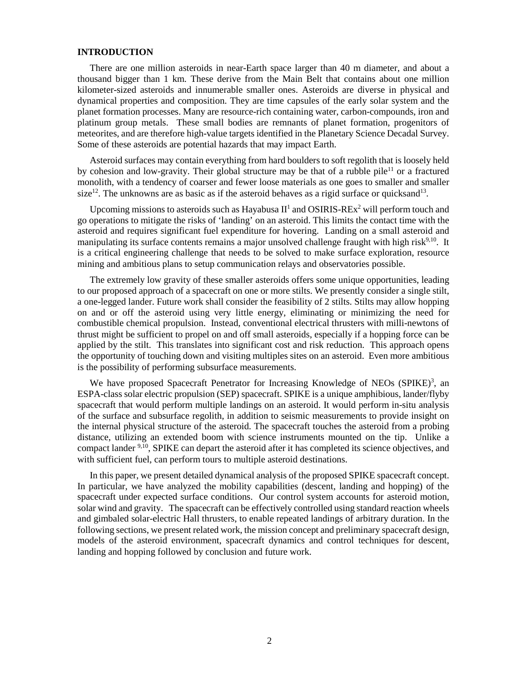## **INTRODUCTION**

There are one million asteroids in near-Earth space larger than 40 m diameter, and about a thousand bigger than 1 km. These derive from the Main Belt that contains about one million kilometer-sized asteroids and innumerable smaller ones. Asteroids are diverse in physical and dynamical properties and composition. They are time capsules of the early solar system and the planet formation processes. Many are resource-rich containing water, carbon-compounds, iron and platinum group metals. These small bodies are remnants of planet formation, progenitors of meteorites, and are therefore high-value targets identified in the Planetary Science Decadal Survey. Some of these asteroids are potential hazards that may impact Earth.

Asteroid surfaces may contain everything from hard boulders to soft regolith that is loosely held by cohesion and low-gravity. Their global structure may be that of a rubble pile<sup>11</sup> or a fractured monolith, with a tendency of coarser and fewer loose materials as one goes to smaller and smaller size<sup>12</sup>. The unknowns are as basic as if the asteroid behaves as a rigid surface or quicksand<sup>13</sup>.

Upcoming missions to asteroids such as Hayabusa  $II<sup>1</sup>$  and OSIRIS-REx<sup>2</sup> will perform touch and go operations to mitigate the risks of 'landing' on an asteroid. This limits the contact time with the asteroid and requires significant fuel expenditure for hovering. Landing on a small asteroid and manipulating its surface contents remains a major unsolved challenge fraught with high risk<sup>9,10</sup>. It is a critical engineering challenge that needs to be solved to make surface exploration, resource mining and ambitious plans to setup communication relays and observatories possible.

The extremely low gravity of these smaller asteroids offers some unique opportunities, leading to our proposed approach of a spacecraft on one or more stilts. We presently consider a single stilt, a one-legged lander. Future work shall consider the feasibility of 2 stilts. Stilts may allow hopping on and or off the asteroid using very little energy, eliminating or minimizing the need for combustible chemical propulsion. Instead, conventional electrical thrusters with milli-newtons of thrust might be sufficient to propel on and off small asteroids, especially if a hopping force can be applied by the stilt. This translates into significant cost and risk reduction. This approach opens the opportunity of touching down and visiting multiples sites on an asteroid. Even more ambitious is the possibility of performing subsurface measurements.

We have proposed Spacecraft Penetrator for Increasing Knowledge of NEOs (SPIKE)<sup>3</sup>, an ESPA-class solar electric propulsion (SEP) spacecraft. SPIKE is a unique amphibious, lander/flyby spacecraft that would perform multiple landings on an asteroid. It would perform in-situ analysis of the surface and subsurface regolith, in addition to seismic measurements to provide insight on the internal physical structure of the asteroid. The spacecraft touches the asteroid from a probing distance, utilizing an extended boom with science instruments mounted on the tip. Unlike a compact lander <sup>9,10</sup>, SPIKE can depart the asteroid after it has completed its science objectives, and with sufficient fuel, can perform tours to multiple asteroid destinations.

In this paper, we present detailed dynamical analysis of the proposed SPIKE spacecraft concept. In particular, we have analyzed the mobility capabilities (descent, landing and hopping) of the spacecraft under expected surface conditions. Our control system accounts for asteroid motion, solar wind and gravity. The spacecraft can be effectively controlled using standard reaction wheels and gimbaled solar-electric Hall thrusters, to enable repeated landings of arbitrary duration. In the following sections, we present related work, the mission concept and preliminary spacecraft design, models of the asteroid environment, spacecraft dynamics and control techniques for descent, landing and hopping followed by conclusion and future work.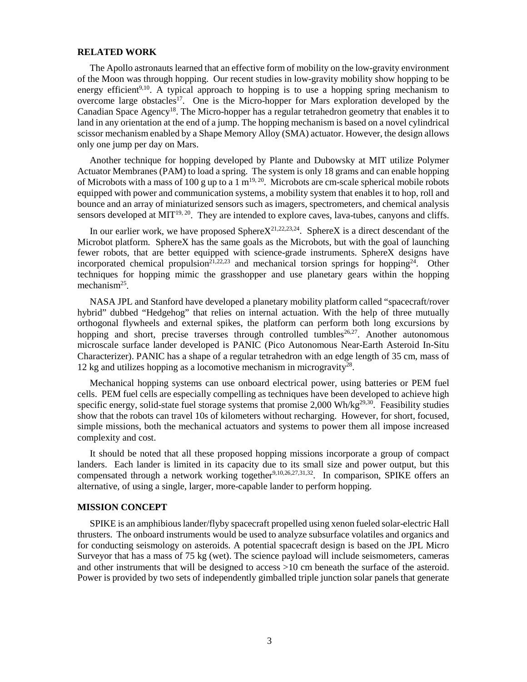#### **RELATED WORK**

The Apollo astronauts learned that an effective form of mobility on the low-gravity environment of the Moon was through hopping. Our recent studies in low-gravity mobility show hopping to be energy efficient<sup>9,10</sup>. A typical approach to hopping is to use a hopping spring mechanism to overcome large obstacles<sup>17</sup>. One is the Micro-hopper for Mars exploration developed by the Canadian Space Agency<sup>18</sup>. The Micro-hopper has a regular tetrahedron geometry that enables it to land in any orientation at the end of a jump. The hopping mechanism is based on a novel cylindrical scissor mechanism enabled by a Shape Memory Alloy (SMA) actuator. However, the design allows only one jump per day on Mars.

Another technique for hopping developed by Plante and Dubowsky at MIT utilize Polymer Actuator Membranes (PAM) to load a spring. The system is only 18 grams and can enable hopping of Microbots with a mass of 100 g up to a 1  $m^{19, 20}$ . Microbots are cm-scale spherical mobile robots equipped with power and communication systems, a mobility system that enables it to hop, roll and bounce and an array of miniaturized sensors such as imagers, spectrometers, and chemical analysis sensors developed at MIT<sup>19, 20</sup>. They are intended to explore caves, lava-tubes, canyons and cliffs.

In our earlier work, we have proposed Sphere $X^{21,22,23,24}$ . SphereX is a direct descendant of the Microbot platform. SphereX has the same goals as the Microbots, but with the goal of launching fewer robots, that are better equipped with science-grade instruments. SphereX designs have incorporated chemical propulsion<sup>21,22,23</sup> and mechanical torsion springs for hopping<sup>24</sup>. Other techniques for hopping mimic the grasshopper and use planetary gears within the hopping mechanism<sup>25</sup>.

NASA JPL and Stanford have developed a planetary mobility platform called "spacecraft/rover hybrid" dubbed "Hedgehog" that relies on internal actuation. With the help of three mutually orthogonal flywheels and external spikes, the platform can perform both long excursions by hopping and short, precise traverses through controlled tumbles<sup>26,27</sup>. Another autonomous microscale surface lander developed is PANIC (Pico Autonomous Near-Earth Asteroid In-Situ Characterizer). PANIC has a shape of a regular tetrahedron with an edge length of 35 cm, mass of 12 kg and utilizes hopping as a locomotive mechanism in microgravity<sup>28</sup>.

Mechanical hopping systems can use onboard electrical power, using batteries or PEM fuel cells. PEM fuel cells are especially compelling as techniques have been developed to achieve high specific energy, solid-state fuel storage systems that promise  $2,000$  Wh/kg<sup>29,30</sup>. Feasibility studies show that the robots can travel 10s of kilometers without recharging. However, for short, focused, simple missions, both the mechanical actuators and systems to power them all impose increased complexity and cost.

It should be noted that all these proposed hopping missions incorporate a group of compact landers. Each lander is limited in its capacity due to its small size and power output, but this compensated through a network working together<sup>9,10,26,27,31,32</sup>. In comparison, SPIKE offers an alternative, of using a single, larger, more-capable lander to perform hopping.

## **MISSION CONCEPT**

SPIKE is an amphibious lander/flyby spacecraft propelled using xenon fueled solar-electric Hall thrusters. The onboard instruments would be used to analyze subsurface volatiles and organics and for conducting seismology on asteroids. A potential spacecraft design is based on the JPL Micro Surveyor that has a mass of 75 kg (wet). The science payload will include seismometers, cameras and other instruments that will be designed to access >10 cm beneath the surface of the asteroid. Power is provided by two sets of independently gimballed triple junction solar panels that generate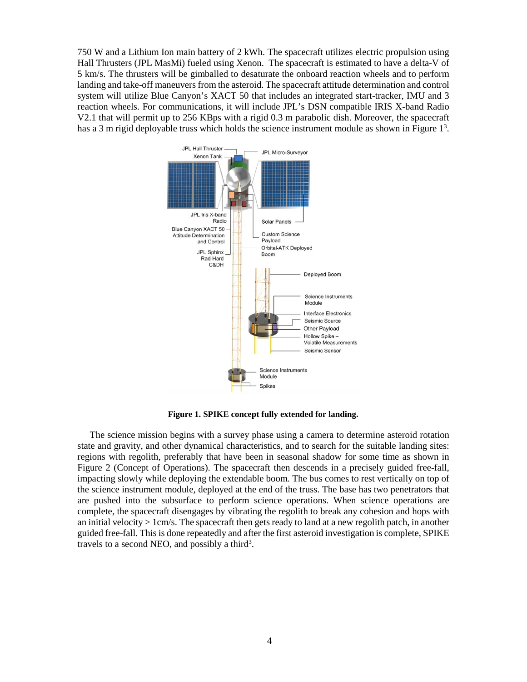750 W and a Lithium Ion main battery of 2 kWh. The spacecraft utilizes electric propulsion using Hall Thrusters (JPL MasMi) fueled using Xenon. The spacecraft is estimated to have a delta-V of 5 km/s. The thrusters will be gimballed to desaturate the onboard reaction wheels and to perform landing and take-off maneuvers from the asteroid. The spacecraft attitude determination and control system will utilize Blue Canyon's XACT 50 that includes an integrated start-tracker, IMU and 3 reaction wheels. For communications, it will include JPL's DSN compatible IRIS X-band Radio V2.1 that will permit up to 256 KBps with a rigid 0.3 m parabolic dish. Moreover, the spacecraft has a 3 m rigid deployable truss which holds the science instrument module as shown in Figure  $1<sup>3</sup>$ .



**Figure 1. SPIKE concept fully extended for landing.**

The science mission begins with a survey phase using a camera to determine asteroid rotation state and gravity, and other dynamical characteristics, and to search for the suitable landing sites: regions with regolith, preferably that have been in seasonal shadow for some time as shown in Figure 2 (Concept of Operations). The spacecraft then descends in a precisely guided free-fall, impacting slowly while deploying the extendable boom. The bus comes to rest vertically on top of the science instrument module, deployed at the end of the truss. The base has two penetrators that are pushed into the subsurface to perform science operations. When science operations are complete, the spacecraft disengages by vibrating the regolith to break any cohesion and hops with an initial velocity  $> 1$  cm/s. The spacecraft then gets ready to land at a new regolith patch, in another guided free-fall. This is done repeatedly and after the first asteroid investigation is complete, SPIKE travels to a second NEO, and possibly a third<sup>3</sup>.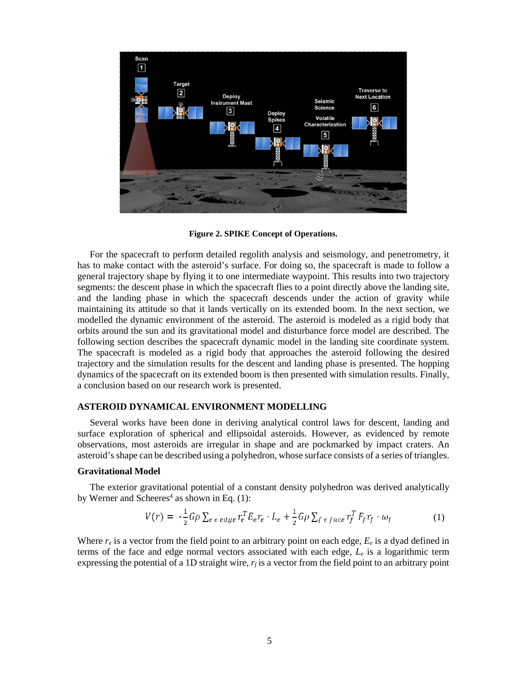

**Figure 2. SPIKE Concept of Operations.**

For the spacecraft to perform detailed regolith analysis and seismology, and penetrometry, it has to make contact with the asteroid's surface. For doing so, the spacecraft is made to follow a general trajectory shape by flying it to one intermediate waypoint. This results into two trajectory segments: the descent phase in which the spacecraft flies to a point directly above the landing site, and the landing phase in which the spacecraft descends under the action of gravity while maintaining its attitude so that it lands vertically on its extended boom. In the next section, we modelled the dynamic environment of the asteroid. The asteroid is modeled as a rigid body that orbits around the sun and its gravitational model and disturbance force model are described. The following section describes the spacecraft dynamic model in the landing site coordinate system. The spacecraft is modeled as a rigid body that approaches the asteroid following the desired trajectory and the simulation results for the descent and landing phase is presented. The hopping dynamics of the spacecraft on its extended boom is then presented with simulation results. Finally, a conclusion based on our research work is presented.

#### **ASTEROID DYNAMICAL ENVIRONMENT MODELLING**

Several works have been done in deriving analytical control laws for descent, landing and surface exploration of spherical and ellipsoidal asteroids. However, as evidenced by remote observations, most asteroids are irregular in shape and are pockmarked by impact craters. An asteroid's shape can be described using a polyhedron, whose surface consists of a series of triangles.

#### **Gravitational Model**

The exterior gravitational potential of a constant density polyhedron was derived analytically by Werner and Scheeres<sup>4</sup> as shown in Eq.  $(1)$ :

$$
V(r) = -\frac{1}{2}G\rho \sum_{e \in edge} r_e^T E_e r_e \cdot L_e + \frac{1}{2}G\rho \sum_{f \in face} r_f^T F_f r_f \cdot \omega_f
$$
 (1)

Where  $r_e$  is a vector from the field point to an arbitrary point on each edge,  $E_e$  is a dyad defined in terms of the face and edge normal vectors associated with each edge, *Le* is a logarithmic term expressing the potential of a 1D straight wire,  $r_f$  is a vector from the field point to an arbitrary point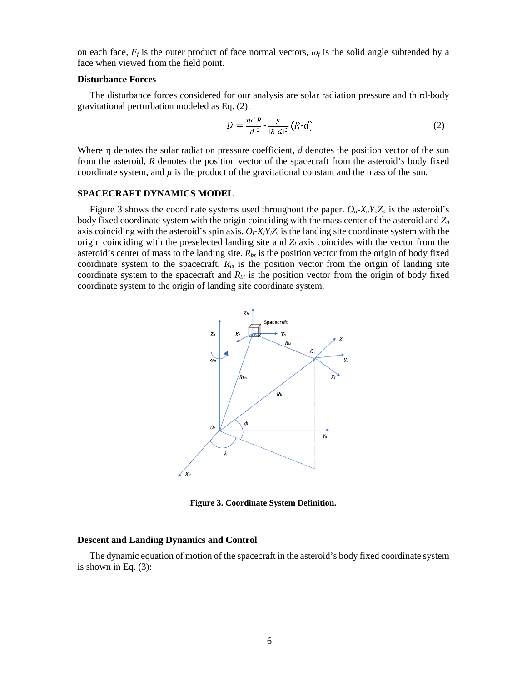on each face,  $F_f$  is the outer product of face normal vectors,  $\omega_f$  is the solid angle subtended by a face when viewed from the field point.

#### **Disturbance Forces**

The disturbance forces considered for our analysis are solar radiation pressure and third-body gravitational perturbation modeled as Eq. (2):

$$
D = \frac{\eta dR}{|d|^3} - \frac{\mu}{|R \cdot d|^3} (R \cdot d)
$$
 (2)

Where η denotes the solar radiation pressure coefficient, *d* denotes the position vector of the sun from the asteroid, *R* denotes the position vector of the spacecraft from the asteroid's body fixed coordinate system, and  $\mu$  is the product of the gravitational constant and the mass of the sun.

#### **SPACECRAFT DYNAMICS MODEL**

Figure 3 shows the coordinate systems used throughout the paper.  $O_a X_a Y_a Z_a$  is the asteroid's body fixed coordinate system with the origin coinciding with the mass center of the asteroid and *Za* axis coinciding with the asteroid's spin axis.  $O_1$ - $X_1Y_1Z_1$  is the landing site coordinate system with the origin coinciding with the preselected landing site and  $Z_l$  axis coincides with the vector from the asteroid's center of mass to the landing site.  $R_{bs}$  is the position vector from the origin of body fixed coordinate system to the spacecraft, *Rls* is the position vector from the origin of landing site coordinate system to the spacecraft and  $R_{bl}$  is the position vector from the origin of body fixed coordinate system to the origin of landing site coordinate system.



**Figure 3. Coordinate System Definition.**

## **Descent and Landing Dynamics and Control**

The dynamic equation of motion of the spacecraft in the asteroid's body fixed coordinate system is shown in Eq. (3):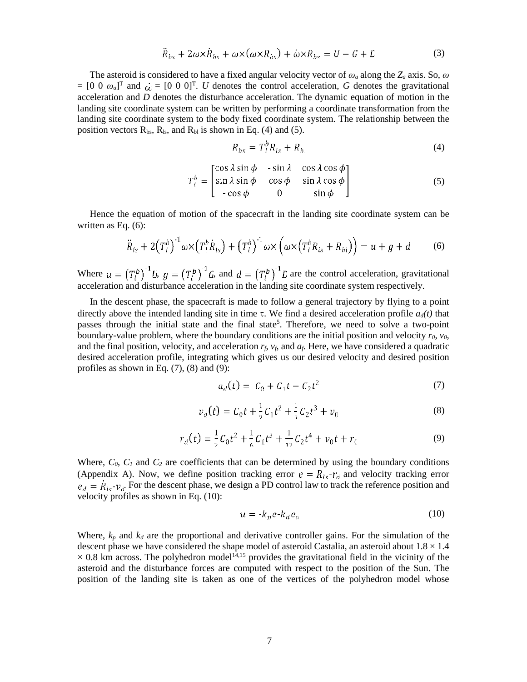$$
\ddot{R}_{bs} + 2\omega \times \dot{R}_{bs} + \omega \times (\omega \times R_{bs}) + \dot{\omega} \times R_{bs} = U + G + E \tag{3}
$$

The asteroid is considered to have a fixed angular velocity vector of *ω<sup>a</sup>* along the *Za* axis. So, *ω*  $=[0 \ 0 \ \omega_a]^T$  and  $\dot{\omega} = [0 \ 0 \ 0]^T$ . *U* denotes the control acceleration, *G* denotes the gravitational acceleration and *D* denotes the disturbance acceleration. The dynamic equation of motion in the landing site coordinate system can be written by performing a coordinate transformation from the landing site coordinate system to the body fixed coordinate system. The relationship between the position vectors  $R_{bs}$ ,  $R_{ls}$ , and  $R_{bl}$  is shown in Eq. (4) and (5).

$$
R_{bs} = T_l^p R_{ls} + R_b \tag{4}
$$

$$
T_l^b = \begin{bmatrix} \cos \lambda \sin \phi & -\sin \lambda & \cos \lambda \cos \phi \\ \sin \lambda \sin \phi & \cos \phi & \sin \lambda \cos \phi \\ -\cos \phi & 0 & \sin \phi \end{bmatrix}
$$
 (5)

Hence the equation of motion of the spacecraft in the landing site coordinate system can be written as Eq. (6):

$$
\ddot{R}_{ls} + 2(T_l^b)^{-1} \omega \times (T_l^b \dot{R}_{ls}) + (T_l^b)^{-1} \omega \times (\omega \times (T_l^b R_{ls} + R_{bl})) = u + g + d \qquad (6)
$$

Where  $u = (T_l^b)^{-1} U$ ,  $g = (T_l^b)^{-1} G$ , and  $d = (T_l^b)^{-1} D$  are the control acceleration, gravitational acceleration and disturbance acceleration in the landing site coordinate system respectively.

In the descent phase, the spacecraft is made to follow a general trajectory by flying to a point directly above the intended landing site in time τ. We find a desired acceleration profile  $a_d(t)$  that passes through the initial state and the final state<sup>5</sup>. Therefore, we need to solve a two-point boundary-value problem, where the boundary conditions are the initial position and velocity  $r_0$ ,  $v_0$ , and the final position, velocity, and acceleration *rf*, *vf*, and *af*. Here, we have considered a quadratic desired acceleration profile, integrating which gives us our desired velocity and desired position profiles as shown in Eq.  $(7)$ ,  $(8)$  and  $(9)$ :

$$
a_d(t) = C_0 + C_1 t + C_2 t^2 \tag{7}
$$

$$
v_d(t) = C_0 t + \frac{1}{2} C_1 t^2 + \frac{1}{3} C_2 t^3 + v_0
$$
 (8)

$$
r_d(t) = \frac{1}{2}C_0t^2 + \frac{1}{6}C_1t^3 + \frac{1}{12}C_2t^4 + v_0t + r_0
$$
\n(9)

Where,  $C_0$ ,  $C_1$  and  $C_2$  are coefficients that can be determined by using the boundary conditions (Appendix A). Now, we define position tracking error  $e = R_{ls} - r_d$  and velocity tracking error  $e_d = R_{ls} - v_d$ . For the descent phase, we design a PD control law to track the reference position and velocity profiles as shown in Eq. (10):

$$
u = -k_p e - k_d e_d \tag{10}
$$

Where,  $k_p$  and  $k_d$  are the proportional and derivative controller gains. For the simulation of the descent phase we have considered the shape model of asteroid Castalia, an asteroid about  $1.8 \times 1.4$  $\times$  0.8 km across. The polyhedron model<sup>14,15</sup> provides the gravitational field in the vicinity of the asteroid and the disturbance forces are computed with respect to the position of the Sun. The position of the landing site is taken as one of the vertices of the polyhedron model whose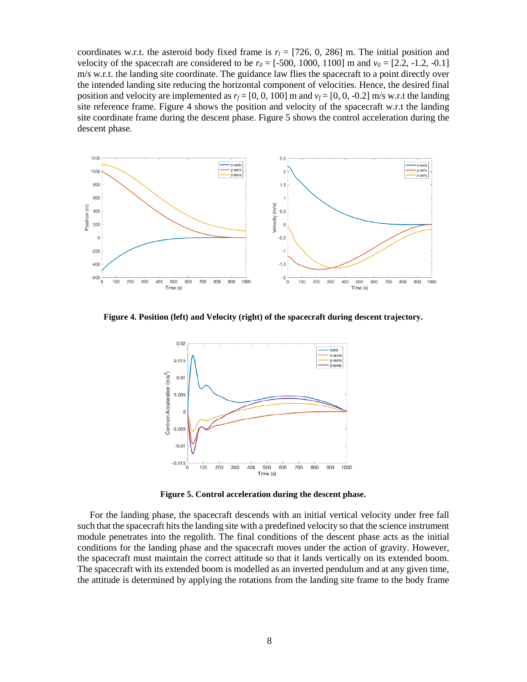coordinates w.r.t. the asteroid body fixed frame is  $r_l = [726, 0, 286]$  m. The initial position and velocity of the spacecraft are considered to be  $r_0 = [-500, 1000, 1100]$  m and  $v_0 = [2.2, -1.2, -0.1]$ m/s w.r.t. the landing site coordinate. The guidance law flies the spacecraft to a point directly over the intended landing site reducing the horizontal component of velocities. Hence, the desired final position and velocity are implemented as  $r_f = [0, 0, 100]$  m and  $v_f = [0, 0, -0.2]$  m/s w.r.t the landing site reference frame. Figure 4 shows the position and velocity of the spacecraft w.r.t the landing site coordinate frame during the descent phase. Figure 5 shows the control acceleration during the descent phase.



**Figure 4. Position (left) and Velocity (right) of the spacecraft during descent trajectory.**



**Figure 5. Control acceleration during the descent phase.**

For the landing phase, the spacecraft descends with an initial vertical velocity under free fall such that the spacecraft hits the landing site with a predefined velocity so that the science instrument module penetrates into the regolith. The final conditions of the descent phase acts as the initial conditions for the landing phase and the spacecraft moves under the action of gravity. However, the spacecraft must maintain the correct attitude so that it lands vertically on its extended boom. The spacecraft with its extended boom is modelled as an inverted pendulum and at any given time, the attitude is determined by applying the rotations from the landing site frame to the body frame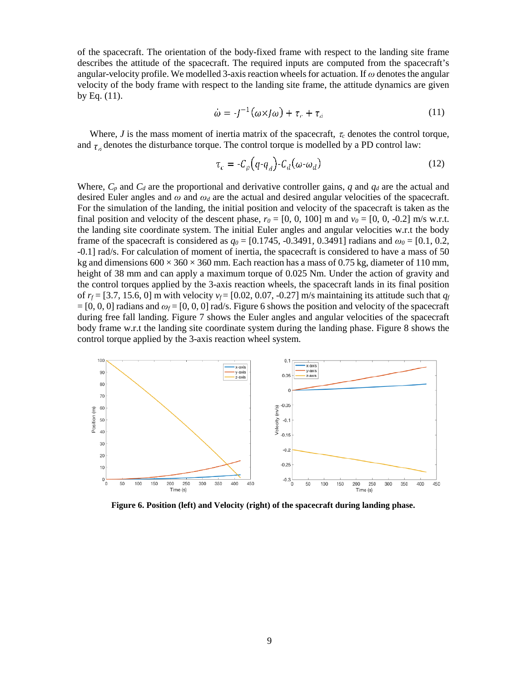of the spacecraft. The orientation of the body-fixed frame with respect to the landing site frame describes the attitude of the spacecraft. The required inputs are computed from the spacecraft's angular-velocity profile. We modelled 3-axis reaction wheelsfor actuation. If *ω* denotes the angular velocity of the body frame with respect to the landing site frame, the attitude dynamics are given by Eq. (11).

$$
\omega = -J^{-1}(\omega \times J\omega) + \tau_c + \tau_d \tag{11}
$$

Where, *J* is the mass moment of inertia matrix of the spacecraft,  $\tau_c$  denotes the control torque, and  $\tau_d$  denotes the disturbance torque. The control torque is modelled by a PD control law:

$$
\tau_c = -C_p \left( q - q_d \right) - C_d \left( \omega - \omega_d \right) \tag{12}
$$

Where,  $C_p$  and  $C_d$  are the proportional and derivative controller gains, *q* and  $q_d$  are the actual and desired Euler angles and  $\omega$  and  $\omega_d$  are the actual and desired angular velocities of the spacecraft. For the simulation of the landing, the initial position and velocity of the spacecraft is taken as the final position and velocity of the descent phase,  $r_0 = [0, 0, 100]$  m and  $v_0 = [0, 0, -0.2]$  m/s w.r.t. the landing site coordinate system. The initial Euler angles and angular velocities w.r.t the body frame of the spacecraft is considered as  $q_0 = [0.1745, -0.3491, 0.3491]$  radians and  $\omega_0 = [0.1, 0.2, 0.3491]$ -0.1] rad/s. For calculation of moment of inertia, the spacecraft is considered to have a mass of 50 kg and dimensions  $600 \times 360 \times 360$  mm. Each reaction has a mass of 0.75 kg, diameter of 110 mm, height of 38 mm and can apply a maximum torque of 0.025 Nm. Under the action of gravity and the control torques applied by the 3-axis reaction wheels, the spacecraft lands in its final position of  $r_f = [3.7, 15.6, 0]$  m with velocity  $v_f = [0.02, 0.07, -0.27]$  m/s maintaining its attitude such that  $q_f$  $=[0, 0, 0]$  radians and  $\omega_f=[0, 0, 0]$  rad/s. Figure 6 shows the position and velocity of the spacecraft during free fall landing. Figure 7 shows the Euler angles and angular velocities of the spacecraft body frame w.r.t the landing site coordinate system during the landing phase. Figure 8 shows the control torque applied by the 3-axis reaction wheel system.



**Figure 6. Position (left) and Velocity (right) of the spacecraft during landing phase.**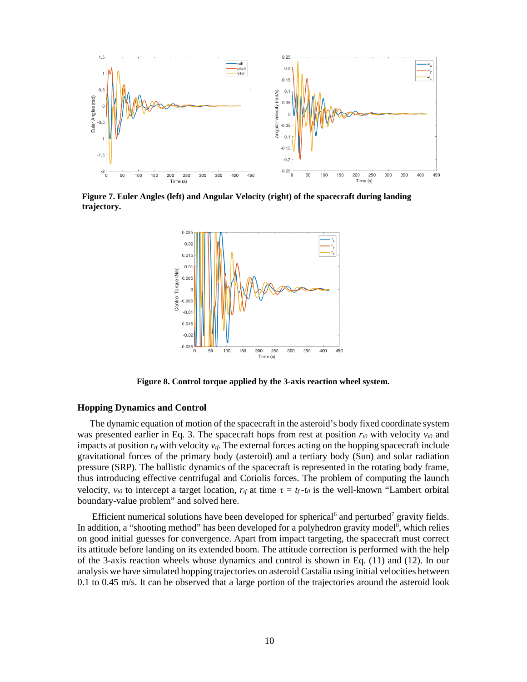

**Figure 7. Euler Angles (left) and Angular Velocity (right) of the spacecraft during landing trajectory.**



**Figure 8. Control torque applied by the 3-axis reaction wheel system.**

## **Hopping Dynamics and Control**

The dynamic equation of motion of the spacecraft in the asteroid's body fixed coordinate system was presented earlier in Eq. 3. The spacecraft hops from rest at position  $r_{t0}$  with velocity  $v_{t0}$  and impacts at position  $r_{tf}$  with velocity  $v_{tf}$ . The external forces acting on the hopping spacecraft include gravitational forces of the primary body (asteroid) and a tertiary body (Sun) and solar radiation pressure (SRP). The ballistic dynamics of the spacecraft is represented in the rotating body frame, thus introducing effective centrifugal and Coriolis forces. The problem of computing the launch velocity,  $v_{t0}$  to intercept a target location,  $r_{t}$  at time  $\tau = t_f - t_0$  is the well-known "Lambert orbital" boundary-value problem" and solved here.

Efficient numerical solutions have been developed for spherical<sup>6</sup> and perturbed<sup>7</sup> gravity fields. In addition, a "shooting method" has been developed for a polyhedron gravity model<sup>8</sup>, which relies on good initial guesses for convergence. Apart from impact targeting, the spacecraft must correct its attitude before landing on its extended boom. The attitude correction is performed with the help of the 3-axis reaction wheels whose dynamics and control is shown in Eq. (11) and (12). In our analysis we have simulated hopping trajectories on asteroid Castalia using initial velocities between  $0.1$  to  $0.45$  m/s. It can be observed that a large portion of the trajectories around the asteroid look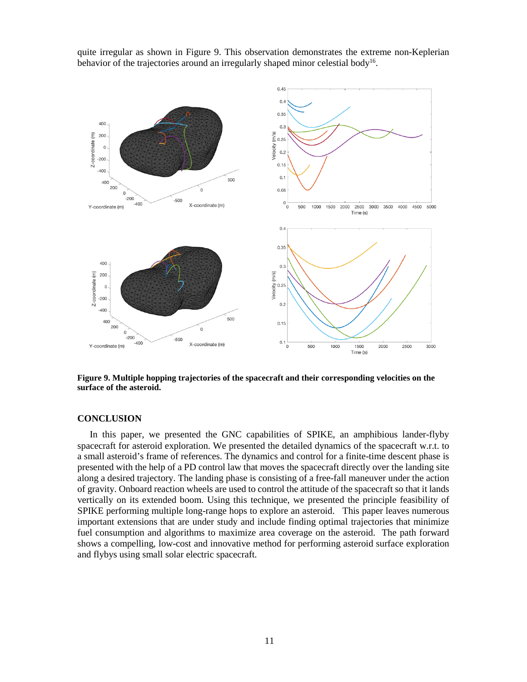quite irregular as shown in Figure 9. This observation demonstrates the extreme non-Keplerian behavior of the trajectories around an irregularly shaped minor celestial body<sup>16</sup>.



**Figure 9. Multiple hopping trajectories of the spacecraft and their corresponding velocities on the surface of the asteroid.**

#### **CONCLUSION**

In this paper, we presented the GNC capabilities of SPIKE, an amphibious lander-flyby spacecraft for asteroid exploration. We presented the detailed dynamics of the spacecraft w.r.t. to a small asteroid's frame of references. The dynamics and control for a finite-time descent phase is presented with the help of a PD control law that moves the spacecraft directly over the landing site along a desired trajectory. The landing phase is consisting of a free-fall maneuver under the action of gravity. Onboard reaction wheels are used to control the attitude of the spacecraft so that it lands vertically on its extended boom. Using this technique, we presented the principle feasibility of SPIKE performing multiple long-range hops to explore an asteroid. This paper leaves numerous important extensions that are under study and include finding optimal trajectories that minimize fuel consumption and algorithms to maximize area coverage on the asteroid. The path forward shows a compelling, low-cost and innovative method for performing asteroid surface exploration and flybys using small solar electric spacecraft.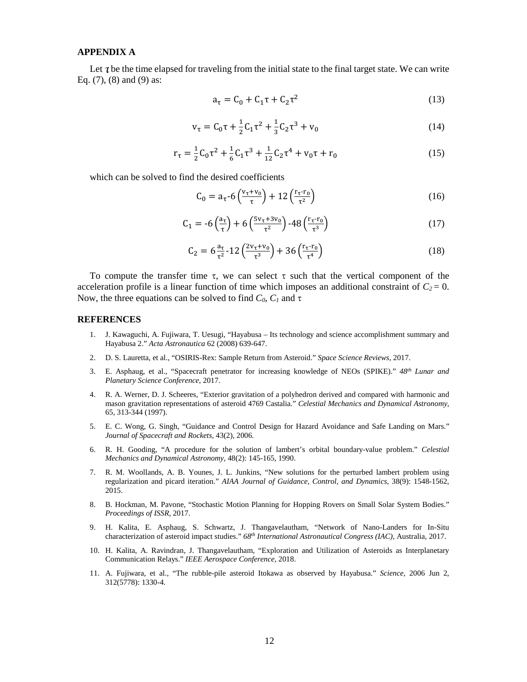### **APPENDIX A**

Let  $\tau$  be the time elapsed for traveling from the initial state to the final target state. We can write Eq. (7), (8) and (9) as:

$$
a_{\tau} = C_0 + C_1 \tau + C_2 \tau^2
$$
 (13)

$$
v_{\tau} = C_0 \tau + \frac{1}{2} C_1 \tau^2 + \frac{1}{3} C_2 \tau^3 + v_0
$$
 (14)

$$
r_{\tau} = \frac{1}{2}C_0\tau^2 + \frac{1}{6}C_1\tau^3 + \frac{1}{12}C_2\tau^4 + v_0\tau + r_0
$$
 (15)

which can be solved to find the desired coefficients

$$
C_0 = a_\tau - 6\left(\frac{v_\tau + v_0}{\tau}\right) + 12\left(\frac{r_\tau - r_0}{\tau^2}\right) \tag{16}
$$

$$
C_1 = -6\left(\frac{a_\tau}{\tau}\right) + 6\left(\frac{5v_\tau + 3v_0}{\tau^2}\right) - 48\left(\frac{r_\tau \cdot r_0}{\tau^3}\right) \tag{17}
$$

$$
C_2 = 6 \frac{a_{\tau}}{\tau^2} - 12 \left( \frac{2v_{\tau} + v_0}{\tau^3} \right) + 36 \left( \frac{r_{\tau} \cdot r_0}{\tau^4} \right) \tag{18}
$$

To compute the transfer time  $\tau$ , we can select  $\tau$  such that the vertical component of the acceleration profile is a linear function of time which imposes an additional constraint of  $C_2 = 0$ . Now, the three equations can be solved to find  $C_0$ ,  $C_1$  and  $\tau$ 

#### **REFERENCES**

- 1. J. Kawaguchi, A. Fujiwara, T. Uesugi, "Hayabusa Its technology and science accomplishment summary and Hayabusa 2." *Acta Astronautica* 62 (2008) 639-647.
- 2. D. S. Lauretta, et al., "OSIRIS-Rex: Sample Return from Asteroid." *Space Science Reviews*, 2017.
- 3. E. Asphaug, et al., "Spacecraft penetrator for increasing knowledge of NEOs (SPIKE)." *48th Lunar and Planetary Science Conference*, 2017.
- 4. R. A. Werner, D. J. Scheeres, "Exterior gravitation of a polyhedron derived and compared with harmonic and mason gravitation representations of asteroid 4769 Castalia." *Celestial Mechanics and Dynamical Astronomy*, 65, 313-344 (1997).
- 5. E. C. Wong, G. Singh, "Guidance and Control Design for Hazard Avoidance and Safe Landing on Mars." *Journal of Spacecraft and Rockets*, 43(2), 2006.
- 6. R. H. Gooding, "A procedure for the solution of lambert's orbital boundary-value problem." *Celestial Mechanics and Dynamical Astronomy*, 48(2): 145-165, 1990.
- 7. R. M. Woollands, A. B. Younes, J. L. Junkins, "New solutions for the perturbed lambert problem using regularization and picard iteration." *AIAA Journal of Guidance, Control, and Dynamics*, 38(9): 1548-1562, 2015.
- 8. B. Hockman, M. Pavone, "Stochastic Motion Planning for Hopping Rovers on Small Solar System Bodies." *Proceedings of ISSR*, 2017.
- 9. H. Kalita, E. Asphaug, S. Schwartz, J. Thangavelautham, "Network of Nano-Landers for In-Situ characterization of asteroid impact studies." *68th International Astronautical Congress (IAC)*, Australia, 2017.
- 10. H. Kalita, A. Ravindran, J. Thangavelautham, "Exploration and Utilization of Asteroids as Interplanetary Communication Relays." *IEEE Aerospace Conference*, 2018.
- 11. A. Fujiwara, et al., "The rubble-pile asteroid Itokawa as observed by Hayabusa." *Science*, 2006 Jun 2, 312(5778): 1330-4.